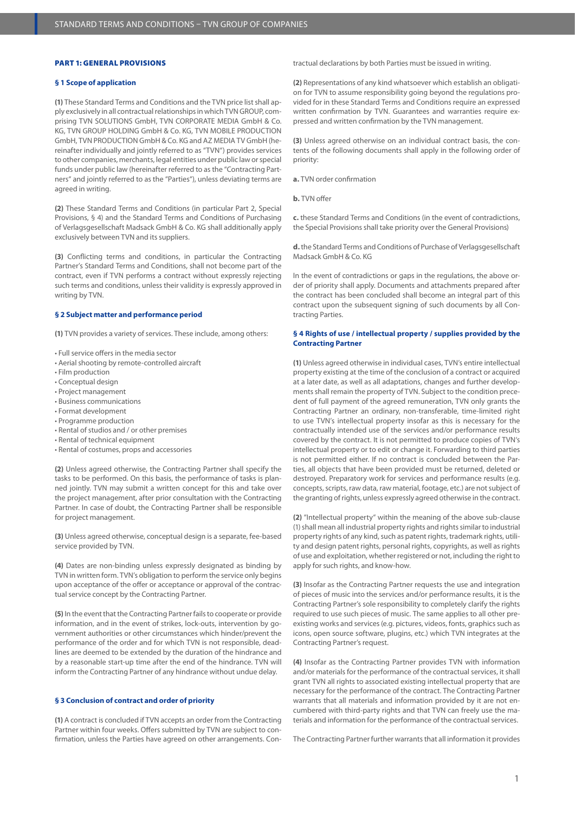### PART 1: GENERAL PROVISIONS

### **§ 1 Scope of application**

**(1)** These Standard Terms and Conditions and the TVN price list shall apply exclusively in all contractual relationships in which TVN GROUP, comprising TVN SOLUTIONS GmbH, TVN CORPORATE MEDIA GmbH & Co. KG, TVN GROUP HOLDING GmbH & Co. KG, TVN MOBILE PRODUCTION GmbH, TVN PRODUCTION GmbH & Co. KG and AZ MEDIA TV GmbH (hereinafter individually and jointly referred to as "TVN") provides services to other companies, merchants, legal entities under public law or special funds under public law (hereinafter referred to as the "Contracting Partners" and jointly referred to as the "Parties"), unless deviating terms are agreed in writing.

**(2)** These Standard Terms and Conditions (in particular Part 2, Special Provisions, § 4) and the Standard Terms and Conditions of Purchasing of Verlagsgesellschaft Madsack GmbH & Co. KG shall additionally apply exclusively between TVN and its suppliers.

**(3)** Conflicting terms and conditions, in particular the Contracting Partner's Standard Terms and Conditions, shall not become part of the contract, even if TVN performs a contract without expressly rejecting such terms and conditions, unless their validity is expressly approved in writing by TVN.

## **§ 2 Subject matter and performance period**

**(1)** TVN provides a variety of services. These include, among others:

- Full service offers in the media sector
- Aerial shooting by remote-controlled aircraft
- Film production
- Conceptual design
- Project management
- Business communications
- Format development
- Programme production
- Rental of studios and / or other premises
- Rental of technical equipment
- Rental of costumes, props and accessories

**(2)** Unless agreed otherwise, the Contracting Partner shall specify the tasks to be performed. On this basis, the performance of tasks is planned jointly. TVN may submit a written concept for this and take over the project management, after prior consultation with the Contracting Partner. In case of doubt, the Contracting Partner shall be responsible for project management.

**(3)** Unless agreed otherwise, conceptual design is a separate, fee-based service provided by TVN.

**(4)** Dates are non-binding unless expressly designated as binding by TVN in written form. TVN's obligation to perform the service only begins upon acceptance of the offer or acceptance or approval of the contractual service concept by the Contracting Partner.

**(5)** In the event that the Contracting Partner fails to cooperate or provide information, and in the event of strikes, lock-outs, intervention by government authorities or other circumstances which hinder/prevent the performance of the order and for which TVN is not responsible, deadlines are deemed to be extended by the duration of the hindrance and by a reasonable start-up time after the end of the hindrance. TVN will inform the Contracting Partner of any hindrance without undue delay.

# **§ 3 Conclusion of contract and order of priority**

**(1)** A contract is concluded if TVN accepts an order from the Contracting Partner within four weeks. Offers submitted by TVN are subject to confirmation, unless the Parties have agreed on other arrangements. Contractual declarations by both Parties must be issued in writing.

**(2)** Representations of any kind whatsoever which establish an obligation for TVN to assume responsibility going beyond the regulations provided for in these Standard Terms and Conditions require an expressed written confirmation by TVN. Guarantees and warranties require expressed and written confirmation by the TVN management.

**(3)** Unless agreed otherwise on an individual contract basis, the contents of the following documents shall apply in the following order of priority:

**a.** TVN order confirmation

**b.** TVN offer

**c.** these Standard Terms and Conditions (in the event of contradictions, the Special Provisions shall take priority over the General Provisions)

**d.** the Standard Terms and Conditions of Purchase of Verlagsgesellschaft Madsack GmbH & Co. KG

In the event of contradictions or gaps in the regulations, the above order of priority shall apply. Documents and attachments prepared after the contract has been concluded shall become an integral part of this contract upon the subsequent signing of such documents by all Contracting Parties.

# **§ 4 Rights of use / intellectual property / supplies provided by the Contracting Partner**

**(1)** Unless agreed otherwise in individual cases, TVN's entire intellectual property existing at the time of the conclusion of a contract or acquired at a later date, as well as all adaptations, changes and further developments shall remain the property of TVN. Subject to the condition precedent of full payment of the agreed remuneration, TVN only grants the Contracting Partner an ordinary, non-transferable, time-limited right to use TVN's intellectual property insofar as this is necessary for the contractually intended use of the services and/or performance results covered by the contract. It is not permitted to produce copies of TVN's intellectual property or to edit or change it. Forwarding to third parties is not permitted either. If no contract is concluded between the Parties, all objects that have been provided must be returned, deleted or destroyed. Preparatory work for services and performance results (e.g. concepts, scripts, raw data, raw material, footage, etc.) are not subject of the granting of rights, unless expressly agreed otherwise in the contract.

**(2)** "Intellectual property" within the meaning of the above sub-clause (1) shall mean all industrial property rights and rights similar to industrial property rights of any kind, such as patent rights, trademark rights, utility and design patent rights, personal rights, copyrights, as well as rights of use and exploitation, whether registered or not, including the right to apply for such rights, and know-how.

**(3)** Insofar as the Contracting Partner requests the use and integration of pieces of music into the services and/or performance results, it is the Contracting Partner's sole responsibility to completely clarify the rights required to use such pieces of music. The same applies to all other preexisting works and services (e.g. pictures, videos, fonts, graphics such as icons, open source software, plugins, etc.) which TVN integrates at the Contracting Partner's request.

**(4)** Insofar as the Contracting Partner provides TVN with information and/or materials for the performance of the contractual services, it shall grant TVN all rights to associated existing intellectual property that are necessary for the performance of the contract. The Contracting Partner warrants that all materials and information provided by it are not encumbered with third-party rights and that TVN can freely use the materials and information for the performance of the contractual services.

The Contracting Partner further warrants that all information it provides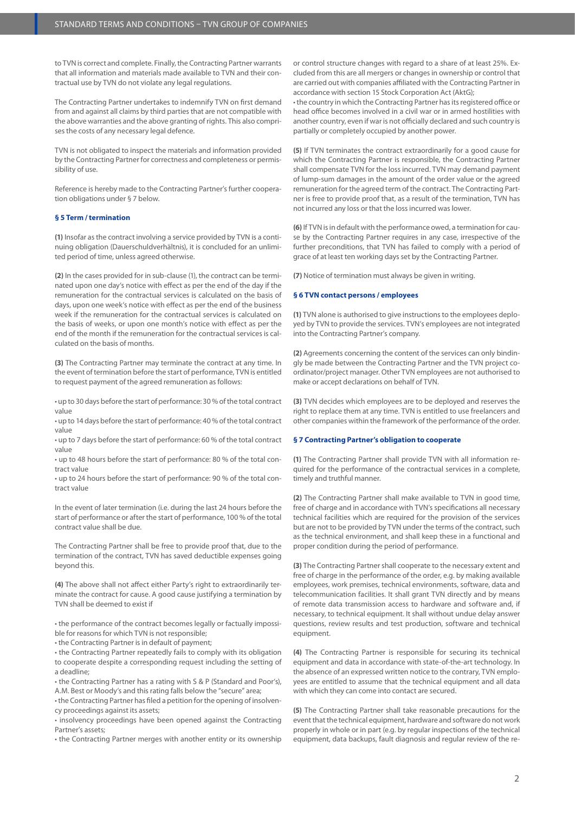to TVN is correct and complete. Finally, the Contracting Partner warrants that all information and materials made available to TVN and their contractual use by TVN do not violate any legal regulations.

The Contracting Partner undertakes to indemnify TVN on first demand from and against all claims by third parties that are not compatible with the above warranties and the above granting of rights. This also comprises the costs of any necessary legal defence.

TVN is not obligated to inspect the materials and information provided by the Contracting Partner for correctness and completeness or permissibility of use.

Reference is hereby made to the Contracting Partner's further cooperation obligations under § 7 below.

# **§ 5 Term / termination**

**(1)** Insofar as the contract involving a service provided by TVN is a continuing obligation (Dauerschuldverhältnis), it is concluded for an unlimited period of time, unless agreed otherwise.

**(2)** In the cases provided for in sub-clause (1), the contract can be terminated upon one day's notice with effect as per the end of the day if the remuneration for the contractual services is calculated on the basis of days, upon one week's notice with effect as per the end of the business week if the remuneration for the contractual services is calculated on the basis of weeks, or upon one month's notice with effect as per the end of the month if the remuneration for the contractual services is calculated on the basis of months.

**(3)** The Contracting Partner may terminate the contract at any time. In the event of termination before the start of performance, TVN is entitled to request payment of the agreed remuneration as follows:

• up to 30 days before the start of performance: 30 % of the total contract value

• up to 14 days before the start of performance: 40 % of the total contract value

• up to 7 days before the start of performance: 60 % of the total contract value

• up to 48 hours before the start of performance: 80 % of the total contract value

• up to 24 hours before the start of performance: 90 % of the total contract value

In the event of later termination (i.e. during the last 24 hours before the start of performance or after the start of performance, 100 % of the total contract value shall be due.

The Contracting Partner shall be free to provide proof that, due to the termination of the contract, TVN has saved deductible expenses going beyond this.

**(4)** The above shall not affect either Party's right to extraordinarily terminate the contract for cause. A good cause justifying a termination by TVN shall be deemed to exist if

• the performance of the contract becomes legally or factually impossible for reasons for which TVN is not responsible;

• the Contracting Partner is in default of payment;

• the Contracting Partner repeatedly fails to comply with its obligation to cooperate despite a corresponding request including the setting of a deadline;

• the Contracting Partner has a rating with S & P (Standard and Poor's), A.M. Best or Moody's and this rating falls below the "secure" area;

• the Contracting Partner has filed a petition for the opening of insolvency proceedings against its assets;

• insolvency proceedings have been opened against the Contracting Partner's assets;

• the Contracting Partner merges with another entity or its ownership

or control structure changes with regard to a share of at least 25%. Excluded from this are all mergers or changes in ownership or control that are carried out with companies affiliated with the Contracting Partner in accordance with section 15 Stock Corporation Act (AktG);

• the country in which the Contracting Partner has its registered office or head office becomes involved in a civil war or in armed hostilities with another country, even if war is not officially declared and such country is partially or completely occupied by another power.

**(5)** If TVN terminates the contract extraordinarily for a good cause for which the Contracting Partner is responsible, the Contracting Partner shall compensate TVN for the loss incurred. TVN may demand payment of lump-sum damages in the amount of the order value or the agreed remuneration for the agreed term of the contract. The Contracting Partner is free to provide proof that, as a result of the termination, TVN has not incurred any loss or that the loss incurred was lower.

**(6)** If TVN is in default with the performance owed, a termination for cause by the Contracting Partner requires in any case, irrespective of the further preconditions, that TVN has failed to comply with a period of grace of at least ten working days set by the Contracting Partner.

**(7)** Notice of termination must always be given in writing.

#### **§ 6 TVN contact persons / employees**

**(1)** TVN alone is authorised to give instructions to the employees deployed by TVN to provide the services. TVN's employees are not integrated into the Contracting Partner's company.

**(2)** Agreements concerning the content of the services can only bindingly be made between the Contracting Partner and the TVN project coordinator/project manager. Other TVN employees are not authorised to make or accept declarations on behalf of TVN.

**(3)** TVN decides which employees are to be deployed and reserves the right to replace them at any time. TVN is entitled to use freelancers and other companies within the framework of the performance of the order.

## **§ 7 Contracting Partner's obligation to cooperate**

**(1)** The Contracting Partner shall provide TVN with all information required for the performance of the contractual services in a complete, timely and truthful manner.

**(2)** The Contracting Partner shall make available to TVN in good time, free of charge and in accordance with TVN's specifications all necessary technical facilities which are required for the provision of the services but are not to be provided by TVN under the terms of the contract, such as the technical environment, and shall keep these in a functional and proper condition during the period of performance.

**(3)** The Contracting Partner shall cooperate to the necessary extent and free of charge in the performance of the order, e.g. by making available employees, work premises, technical environments, software, data and telecommunication facilities. It shall grant TVN directly and by means of remote data transmission access to hardware and software and, if necessary, to technical equipment. It shall without undue delay answer questions, review results and test production, software and technical equipment.

**(4)** The Contracting Partner is responsible for securing its technical equipment and data in accordance with state-of-the-art technology. In the absence of an expressed written notice to the contrary, TVN employees are entitled to assume that the technical equipment and all data with which they can come into contact are secured.

**(5)** The Contracting Partner shall take reasonable precautions for the event that the technical equipment, hardware and software do not work properly in whole or in part (e.g. by regular inspections of the technical equipment, data backups, fault diagnosis and regular review of the re-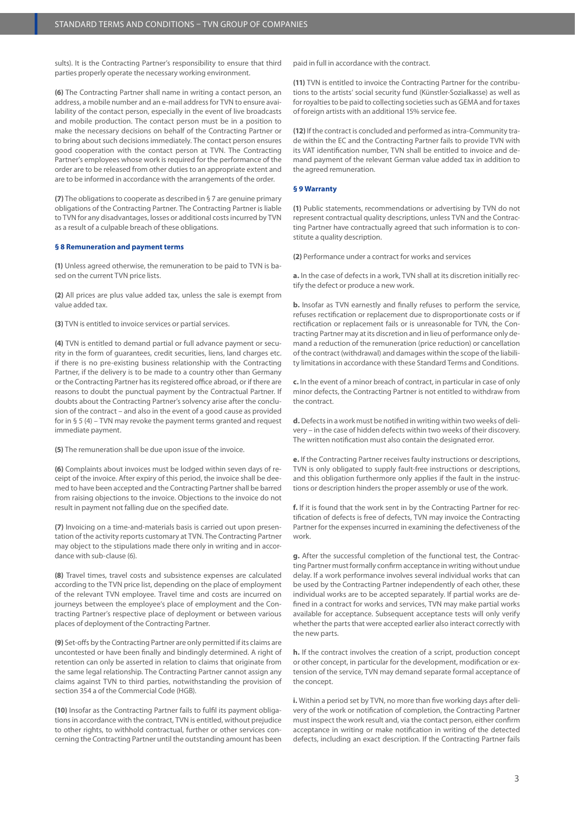sults). It is the Contracting Partner's responsibility to ensure that third parties properly operate the necessary working environment.

**(6)** The Contracting Partner shall name in writing a contact person, an address, a mobile number and an e-mail address for TVN to ensure availability of the contact person, especially in the event of live broadcasts and mobile production. The contact person must be in a position to make the necessary decisions on behalf of the Contracting Partner or to bring about such decisions immediately. The contact person ensures good cooperation with the contact person at TVN. The Contracting Partner's employees whose work is required for the performance of the order are to be released from other duties to an appropriate extent and are to be informed in accordance with the arrangements of the order.

**(7)** The obligations to cooperate as described in § 7 are genuine primary obligations of the Contracting Partner. The Contracting Partner is liable to TVN for any disadvantages, losses or additional costs incurred by TVN as a result of a culpable breach of these obligations.

# **§ 8 Remuneration and payment terms**

**(1)** Unless agreed otherwise, the remuneration to be paid to TVN is based on the current TVN price lists.

**(2)** All prices are plus value added tax, unless the sale is exempt from value added tax.

**(3)** TVN is entitled to invoice services or partial services.

**(4)** TVN is entitled to demand partial or full advance payment or security in the form of guarantees, credit securities, liens, land charges etc. if there is no pre-existing business relationship with the Contracting Partner, if the delivery is to be made to a country other than Germany or the Contracting Partner has its registered office abroad, or if there are reasons to doubt the punctual payment by the Contractual Partner. If doubts about the Contracting Partner's solvency arise after the conclusion of the contract – and also in the event of a good cause as provided for in § 5 (4) – TVN may revoke the payment terms granted and request immediate payment.

**(5)** The remuneration shall be due upon issue of the invoice.

**(6)** Complaints about invoices must be lodged within seven days of receipt of the invoice. After expiry of this period, the invoice shall be deemed to have been accepted and the Contracting Partner shall be barred from raising objections to the invoice. Objections to the invoice do not result in payment not falling due on the specified date.

**(7)** Invoicing on a time-and-materials basis is carried out upon presentation of the activity reports customary at TVN. The Contracting Partner may object to the stipulations made there only in writing and in accordance with sub-clause (6).

**(8)** Travel times, travel costs and subsistence expenses are calculated according to the TVN price list, depending on the place of employment of the relevant TVN employee. Travel time and costs are incurred on journeys between the employee's place of employment and the Contracting Partner's respective place of deployment or between various places of deployment of the Contracting Partner.

**(9)** Set-offs by the Contracting Partner are only permitted if its claims are uncontested or have been finally and bindingly determined. A right of retention can only be asserted in relation to claims that originate from the same legal relationship. The Contracting Partner cannot assign any claims against TVN to third parties, notwithstanding the provision of section 354 a of the Commercial Code (HGB).

**(10)** Insofar as the Contracting Partner fails to fulfil its payment obligations in accordance with the contract, TVN is entitled, without prejudice to other rights, to withhold contractual, further or other services concerning the Contracting Partner until the outstanding amount has been paid in full in accordance with the contract.

**(11)** TVN is entitled to invoice the Contracting Partner for the contributions to the artists' social security fund (Künstler-Sozialkasse) as well as for royalties to be paid to collecting societies such as GEMA and for taxes of foreign artists with an additional 15% service fee.

**(12)** If the contract is concluded and performed as intra-Community trade within the EC and the Contracting Partner fails to provide TVN with its VAT identification number, TVN shall be entitled to invoice and demand payment of the relevant German value added tax in addition to the agreed remuneration.

# **§ 9 Warranty**

**(1)** Public statements, recommendations or advertising by TVN do not represent contractual quality descriptions, unless TVN and the Contracting Partner have contractually agreed that such information is to constitute a quality description.

**(2)** Performance under a contract for works and services

**a.** In the case of defects in a work, TVN shall at its discretion initially rectify the defect or produce a new work.

**b.** Insofar as TVN earnestly and finally refuses to perform the service, refuses rectification or replacement due to disproportionate costs or if rectification or replacement fails or is unreasonable for TVN, the Contracting Partner may at its discretion and in lieu of performance only demand a reduction of the remuneration (price reduction) or cancellation of the contract (withdrawal) and damages within the scope of the liability limitations in accordance with these Standard Terms and Conditions.

**c.** In the event of a minor breach of contract, in particular in case of only minor defects, the Contracting Partner is not entitled to withdraw from the contract.

**d.** Defects in a work must be notified in writing within two weeks of delivery – in the case of hidden defects within two weeks of their discovery. The written notification must also contain the designated error.

**e.** If the Contracting Partner receives faulty instructions or descriptions, TVN is only obligated to supply fault-free instructions or descriptions, and this obligation furthermore only applies if the fault in the instructions or description hinders the proper assembly or use of the work.

**f.** If it is found that the work sent in by the Contracting Partner for rectification of defects is free of defects, TVN may invoice the Contracting Partner for the expenses incurred in examining the defectiveness of the work.

**g.** After the successful completion of the functional test, the Contracting Partner must formally confirm acceptance in writing without undue delay. If a work performance involves several individual works that can be used by the Contracting Partner independently of each other, these individual works are to be accepted separately. If partial works are defined in a contract for works and services, TVN may make partial works available for acceptance. Subsequent acceptance tests will only verify whether the parts that were accepted earlier also interact correctly with the new parts.

**h.** If the contract involves the creation of a script, production concept or other concept, in particular for the development, modification or extension of the service, TVN may demand separate formal acceptance of the concept.

**i.** Within a period set by TVN, no more than five working days after delivery of the work or notification of completion, the Contracting Partner must inspect the work result and, via the contact person, either confirm acceptance in writing or make notification in writing of the detected defects, including an exact description. If the Contracting Partner fails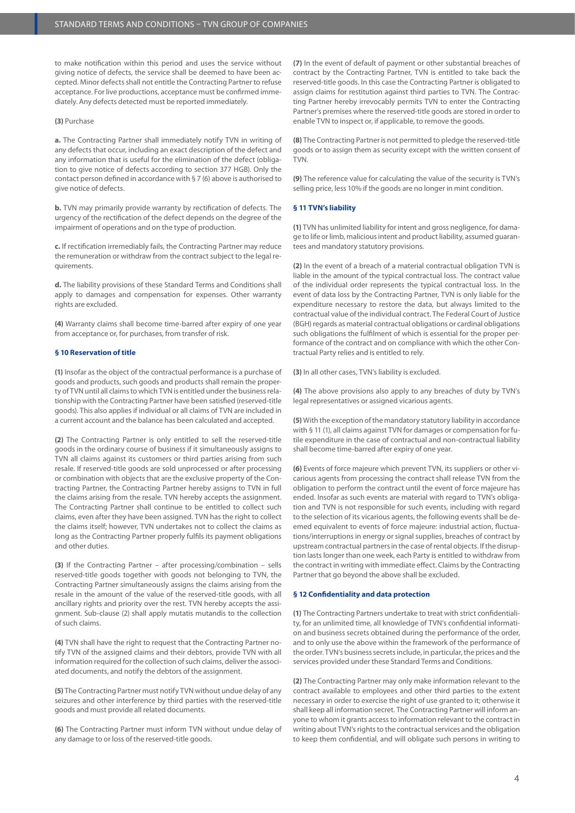to make notification within this period and uses the service without giving notice of defects, the service shall be deemed to have been accepted. Minor defects shall not entitle the Contracting Partner to refuse acceptance. For live productions, acceptance must be confirmed immediately. Any defects detected must be reported immediately.

## **(3)** Purchase

**a.** The Contracting Partner shall immediately notify TVN in writing of any defects that occur, including an exact description of the defect and any information that is useful for the elimination of the defect (obligation to give notice of defects according to section 377 HGB). Only the contact person defined in accordance with § 7 (6) above is authorised to give notice of defects.

**b.** TVN may primarily provide warranty by rectification of defects. The urgency of the rectification of the defect depends on the degree of the impairment of operations and on the type of production.

**c.** If rectification irremediably fails, the Contracting Partner may reduce the remuneration or withdraw from the contract subject to the legal requirements.

**d.** The liability provisions of these Standard Terms and Conditions shall apply to damages and compensation for expenses. Other warranty rights are excluded.

**(4)** Warranty claims shall become time-barred after expiry of one year from acceptance or, for purchases, from transfer of risk.

# **§ 10 Reservation of title**

**(1)** Insofar as the object of the contractual performance is a purchase of goods and products, such goods and products shall remain the property of TVN until all claims to which TVN is entitled under the business relationship with the Contracting Partner have been satisfied (reserved-title goods). This also applies if individual or all claims of TVN are included in a current account and the balance has been calculated and accepted.

**(2)** The Contracting Partner is only entitled to sell the reserved-title goods in the ordinary course of business if it simultaneously assigns to TVN all claims against its customers or third parties arising from such resale. If reserved-title goods are sold unprocessed or after processing or combination with objects that are the exclusive property of the Contracting Partner, the Contracting Partner hereby assigns to TVN in full the claims arising from the resale. TVN hereby accepts the assignment. The Contracting Partner shall continue to be entitled to collect such claims, even after they have been assigned. TVN has the right to collect the claims itself; however, TVN undertakes not to collect the claims as long as the Contracting Partner properly fulfils its payment obligations and other duties.

**(3)** If the Contracting Partner – after processing/combination – sells reserved-title goods together with goods not belonging to TVN, the Contracting Partner simultaneously assigns the claims arising from the resale in the amount of the value of the reserved-title goods, with all ancillary rights and priority over the rest. TVN hereby accepts the assignment. Sub-clause (2) shall apply mutatis mutandis to the collection of such claims.

**(4)** TVN shall have the right to request that the Contracting Partner notify TVN of the assigned claims and their debtors, provide TVN with all information required for the collection of such claims, deliver the associated documents, and notify the debtors of the assignment.

**(5)** The Contracting Partner must notify TVN without undue delay of any seizures and other interference by third parties with the reserved-title goods and must provide all related documents.

**(6)** The Contracting Partner must inform TVN without undue delay of any damage to or loss of the reserved-title goods.

**(7)** In the event of default of payment or other substantial breaches of contract by the Contracting Partner, TVN is entitled to take back the reserved-title goods. In this case the Contracting Partner is obligated to assign claims for restitution against third parties to TVN. The Contracting Partner hereby irrevocably permits TVN to enter the Contracting Partner's premises where the reserved-title goods are stored in order to enable TVN to inspect or, if applicable, to remove the goods.

**(8)** The Contracting Partner is not permitted to pledge the reserved-title goods or to assign them as security except with the written consent of TVN.

**(9)** The reference value for calculating the value of the security is TVN's selling price, less 10% if the goods are no longer in mint condition.

## **§ 11 TVN's liability**

**(1)** TVN has unlimited liability for intent and gross negligence, for damage to life or limb, malicious intent and product liability, assumed guarantees and mandatory statutory provisions.

**(2)** In the event of a breach of a material contractual obligation TVN is liable in the amount of the typical contractual loss. The contract value of the individual order represents the typical contractual loss. In the event of data loss by the Contracting Partner, TVN is only liable for the expenditure necessary to restore the data, but always limited to the contractual value of the individual contract. The Federal Court of Justice (BGH) regards as material contractual obligations or cardinal obligations such obligations the fulfilment of which is essential for the proper performance of the contract and on compliance with which the other Contractual Party relies and is entitled to rely.

**(3)** In all other cases, TVN's liability is excluded.

**(4)** The above provisions also apply to any breaches of duty by TVN's legal representatives or assigned vicarious agents.

**(5)** With the exception of the mandatory statutory liability in accordance with § 11 (1), all claims against TVN for damages or compensation for futile expenditure in the case of contractual and non-contractual liability shall become time-barred after expiry of one year.

**(6)** Events of force majeure which prevent TVN, its suppliers or other vicarious agents from processing the contract shall release TVN from the obligation to perform the contract until the event of force majeure has ended. Insofar as such events are material with regard to TVN's obligation and TVN is not responsible for such events, including with regard to the selection of its vicarious agents, the following events shall be deemed equivalent to events of force majeure: industrial action, fluctuations/interruptions in energy or signal supplies, breaches of contract by upstream contractual partners in the case of rental objects. If the disruption lasts longer than one week, each Party is entitled to withdraw from the contract in writing with immediate effect. Claims by the Contracting Partner that go beyond the above shall be excluded.

### **§ 12 Confidentiality and data protection**

**(1)** The Contracting Partners undertake to treat with strict confidentiality, for an unlimited time, all knowledge of TVN's confidential information and business secrets obtained during the performance of the order, and to only use the above within the framework of the performance of the order. TVN's business secrets include, in particular, the prices and the services provided under these Standard Terms and Conditions.

**(2)** The Contracting Partner may only make information relevant to the contract available to employees and other third parties to the extent necessary in order to exercise the right of use granted to it; otherwise it shall keep all information secret. The Contracting Partner will inform anyone to whom it grants access to information relevant to the contract in writing about TVN's rights to the contractual services and the obligation to keep them confidential, and will obligate such persons in writing to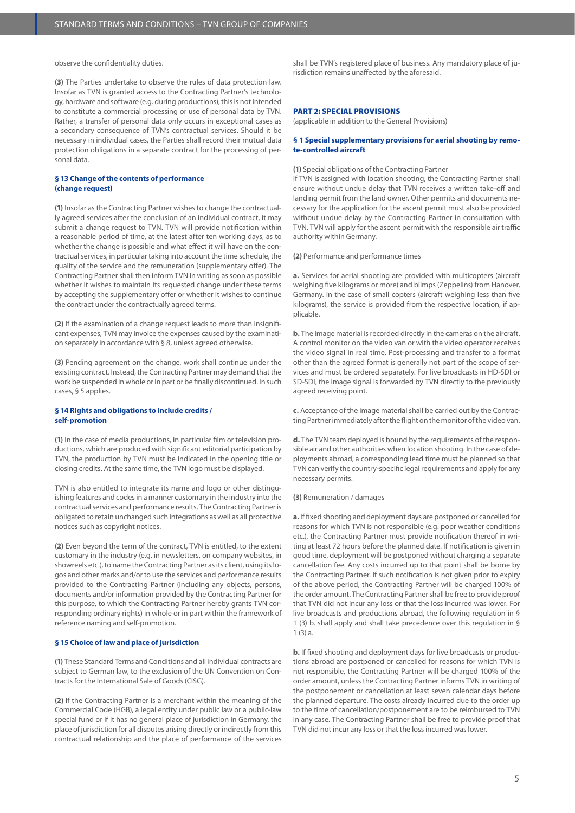observe the confidentiality duties.

**(3)** The Parties undertake to observe the rules of data protection law. Insofar as TVN is granted access to the Contracting Partner's technology, hardware and software (e.g. during productions), this is not intended to constitute a commercial processing or use of personal data by TVN. Rather, a transfer of personal data only occurs in exceptional cases as a secondary consequence of TVN's contractual services. Should it be necessary in individual cases, the Parties shall record their mutual data protection obligations in a separate contract for the processing of personal data.

# **§ 13 Change of the contents of performance (change request)**

**(1)** Insofar as the Contracting Partner wishes to change the contractually agreed services after the conclusion of an individual contract, it may submit a change request to TVN. TVN will provide notification within a reasonable period of time, at the latest after ten working days, as to whether the change is possible and what effect it will have on the contractual services, in particular taking into account the time schedule, the quality of the service and the remuneration (supplementary offer). The Contracting Partner shall then inform TVN in writing as soon as possible whether it wishes to maintain its requested change under these terms by accepting the supplementary offer or whether it wishes to continue the contract under the contractually agreed terms.

**(2)** If the examination of a change request leads to more than insignificant expenses, TVN may invoice the expenses caused by the examination separately in accordance with § 8, unless agreed otherwise.

**(3)** Pending agreement on the change, work shall continue under the existing contract. Instead, the Contracting Partner may demand that the work be suspended in whole or in part or be finally discontinued. In such cases, § 5 applies.

## **§ 14 Rights and obligations to include credits / self-promotion**

**(1)** In the case of media productions, in particular film or television productions, which are produced with significant editorial participation by TVN, the production by TVN must be indicated in the opening title or closing credits. At the same time, the TVN logo must be displayed.

TVN is also entitled to integrate its name and logo or other distinguishing features and codes in a manner customary in the industry into the contractual services and performance results. The Contracting Partner is obligated to retain unchanged such integrations as well as all protective notices such as copyright notices.

**(2)** Even beyond the term of the contract, TVN is entitled, to the extent customary in the industry (e.g. in newsletters, on company websites, in showreels etc.), to name the Contracting Partner as its client, using its logos and other marks and/or to use the services and performance results provided to the Contracting Partner (including any objects, persons, documents and/or information provided by the Contracting Partner for this purpose, to which the Contracting Partner hereby grants TVN corresponding ordinary rights) in whole or in part within the framework of reference naming and self-promotion.

# **§ 15 Choice of law and place of jurisdiction**

**(1)** These Standard Terms and Conditions and all individual contracts are subject to German law, to the exclusion of the UN Convention on Contracts for the International Sale of Goods (CISG).

**(2)** If the Contracting Partner is a merchant within the meaning of the Commercial Code (HGB), a legal entity under public law or a public-law special fund or if it has no general place of jurisdiction in Germany, the place of jurisdiction for all disputes arising directly or indirectly from this contractual relationship and the place of performance of the services shall be TVN's registered place of business. Any mandatory place of jurisdiction remains unaffected by the aforesaid.

# PART 2: SPECIAL PROVISIONS

(applicable in addition to the General Provisions)

## **§ 1 Special supplementary provisions for aerial shooting by remote-controlled aircraft**

### **(1)** Special obligations of the Contracting Partner

If TVN is assigned with location shooting, the Contracting Partner shall ensure without undue delay that TVN receives a written take-off and landing permit from the land owner. Other permits and documents necessary for the application for the ascent permit must also be provided without undue delay by the Contracting Partner in consultation with TVN. TVN will apply for the ascent permit with the responsible air traffic authority within Germany.

**(2)** Performance and performance times

**a.** Services for aerial shooting are provided with multicopters (aircraft weighing five kilograms or more) and blimps (Zeppelins) from Hanover, Germany. In the case of small copters (aircraft weighing less than five kilograms), the service is provided from the respective location, if applicable.

**b.** The image material is recorded directly in the cameras on the aircraft. A control monitor on the video van or with the video operator receives the video signal in real time. Post-processing and transfer to a format other than the agreed format is generally not part of the scope of services and must be ordered separately. For live broadcasts in HD-SDI or SD-SDI, the image signal is forwarded by TVN directly to the previously agreed receiving point.

**c.** Acceptance of the image material shall be carried out by the Contracting Partner immediately after the flight on the monitor of the video van.

**d.** The TVN team deployed is bound by the requirements of the responsible air and other authorities when location shooting. In the case of deployments abroad, a corresponding lead time must be planned so that TVN can verify the country-specific legal requirements and apply for any necessary permits.

#### **(3)** Remuneration / damages

**a.** If fixed shooting and deployment days are postponed or cancelled for reasons for which TVN is not responsible (e.g. poor weather conditions etc.), the Contracting Partner must provide notification thereof in writing at least 72 hours before the planned date. If notification is given in good time, deployment will be postponed without charging a separate cancellation fee. Any costs incurred up to that point shall be borne by the Contracting Partner. If such notification is not given prior to expiry of the above period, the Contracting Partner will be charged 100% of the order amount. The Contracting Partner shall be free to provide proof that TVN did not incur any loss or that the loss incurred was lower. For live broadcasts and productions abroad, the following regulation in § 1 (3) b. shall apply and shall take precedence over this regulation in § 1 (3) a.

**b.** If fixed shooting and deployment days for live broadcasts or productions abroad are postponed or cancelled for reasons for which TVN is not responsible, the Contracting Partner will be charged 100% of the order amount, unless the Contracting Partner informs TVN in writing of the postponement or cancellation at least seven calendar days before the planned departure. The costs already incurred due to the order up to the time of cancellation/postponement are to be reimbursed to TVN in any case. The Contracting Partner shall be free to provide proof that TVN did not incur any loss or that the loss incurred was lower.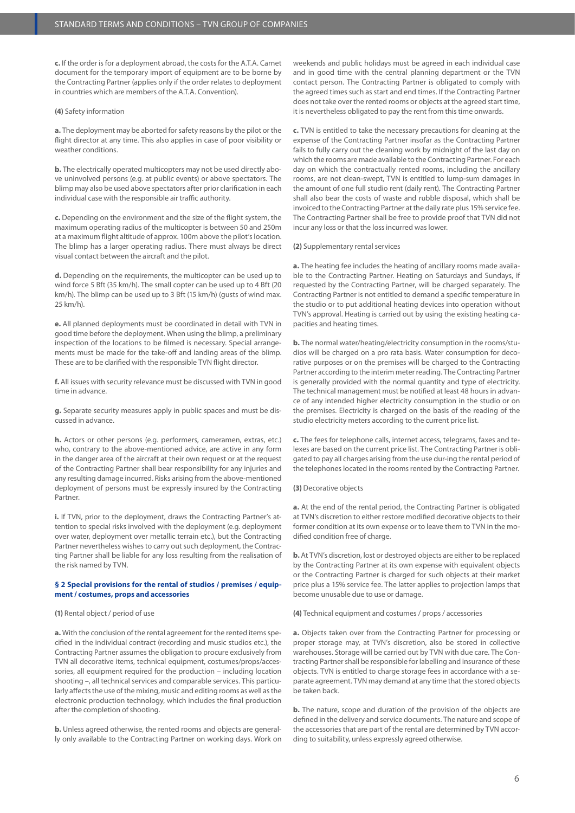**c.** If the order is for a deployment abroad, the costs for the A.T.A. Carnet document for the temporary import of equipment are to be borne by the Contracting Partner (applies only if the order relates to deployment in countries which are members of the A.T.A. Convention).

### **(4)** Safety information

**a.** The deployment may be aborted for safety reasons by the pilot or the flight director at any time. This also applies in case of poor visibility or weather conditions.

**b.** The electrically operated multicopters may not be used directly above uninvolved persons (e.g. at public events) or above spectators. The blimp may also be used above spectators after prior clarification in each individual case with the responsible air traffic authority.

**c.** Depending on the environment and the size of the flight system, the maximum operating radius of the multicopter is between 50 and 250m at a maximum flight altitude of approx. 100m above the pilot's location. The blimp has a larger operating radius. There must always be direct visual contact between the aircraft and the pilot.

**d.** Depending on the requirements, the multicopter can be used up to wind force 5 Bft (35 km/h). The small copter can be used up to 4 Bft (20 km/h). The blimp can be used up to 3 Bft (15 km/h) (gusts of wind max. 25 km/h).

**e.** All planned deployments must be coordinated in detail with TVN in good time before the deployment. When using the blimp, a preliminary inspection of the locations to be filmed is necessary. Special arrangements must be made for the take-off and landing areas of the blimp. These are to be clarified with the responsible TVN flight director.

**f.** All issues with security relevance must be discussed with TVN in good time in advance.

**g.** Separate security measures apply in public spaces and must be discussed in advance.

**h.** Actors or other persons (e.g. performers, cameramen, extras, etc.) who, contrary to the above-mentioned advice, are active in any form in the danger area of the aircraft at their own request or at the request of the Contracting Partner shall bear responsibility for any injuries and any resulting damage incurred. Risks arising from the above-mentioned deployment of persons must be expressly insured by the Contracting Partner.

**i.** If TVN, prior to the deployment, draws the Contracting Partner's attention to special risks involved with the deployment (e.g. deployment over water, deployment over metallic terrain etc.), but the Contracting Partner nevertheless wishes to carry out such deployment, the Contracting Partner shall be liable for any loss resulting from the realisation of the risk named by TVN.

# **§ 2 Special provisions for the rental of studios / premises / equipment / costumes, props and accessories**

# **(1)** Rental object / period of use

**a.** With the conclusion of the rental agreement for the rented items specified in the individual contract (recording and music studios etc.), the Contracting Partner assumes the obligation to procure exclusively from TVN all decorative items, technical equipment, costumes/props/accessories, all equipment required for the production – including location shooting –, all technical services and comparable services. This particularly affects the use of the mixing, music and editing rooms as well as the electronic production technology, which includes the final production after the completion of shooting.

**b.** Unless agreed otherwise, the rented rooms and objects are generally only available to the Contracting Partner on working days. Work on weekends and public holidays must be agreed in each individual case and in good time with the central planning department or the TVN contact person. The Contracting Partner is obligated to comply with the agreed times such as start and end times. If the Contracting Partner does not take over the rented rooms or objects at the agreed start time, it is nevertheless obligated to pay the rent from this time onwards.

**c.** TVN is entitled to take the necessary precautions for cleaning at the expense of the Contracting Partner insofar as the Contracting Partner fails to fully carry out the cleaning work by midnight of the last day on which the rooms are made available to the Contracting Partner. For each day on which the contractually rented rooms, including the ancillary rooms, are not clean-swept, TVN is entitled to lump-sum damages in the amount of one full studio rent (daily rent). The Contracting Partner shall also bear the costs of waste and rubble disposal, which shall be invoiced to the Contracting Partner at the daily rate plus 15% service fee. The Contracting Partner shall be free to provide proof that TVN did not incur any loss or that the loss incurred was lower.

### **(2)** Supplementary rental services

**a.** The heating fee includes the heating of ancillary rooms made available to the Contracting Partner. Heating on Saturdays and Sundays, if requested by the Contracting Partner, will be charged separately. The Contracting Partner is not entitled to demand a specific temperature in the studio or to put additional heating devices into operation without TVN's approval. Heating is carried out by using the existing heating capacities and heating times.

**b.** The normal water/heating/electricity consumption in the rooms/studios will be charged on a pro rata basis. Water consumption for decorative purposes or on the premises will be charged to the Contracting Partner according to the interim meter reading. The Contracting Partner is generally provided with the normal quantity and type of electricity. The technical management must be notified at least 48 hours in advance of any intended higher electricity consumption in the studio or on the premises. Electricity is charged on the basis of the reading of the studio electricity meters according to the current price list.

**c.** The fees for telephone calls, internet access, telegrams, faxes and telexes are based on the current price list. The Contracting Partner is obligated to pay all charges arising from the use dur-ing the rental period of the telephones located in the rooms rented by the Contracting Partner.

#### **(3)** Decorative objects

**a.** At the end of the rental period, the Contracting Partner is obligated at TVN's discretion to either restore modified decorative objects to their former condition at its own expense or to leave them to TVN in the modified condition free of charge.

**b.** At TVN's discretion, lost or destroyed objects are either to be replaced by the Contracting Partner at its own expense with equivalent objects or the Contracting Partner is charged for such objects at their market price plus a 15% service fee. The latter applies to projection lamps that become unusable due to use or damage.

**(4)** Technical equipment and costumes / props / accessories

**a.** Objects taken over from the Contracting Partner for processing or proper storage may, at TVN's discretion, also be stored in collective warehouses. Storage will be carried out by TVN with due care. The Contracting Partner shall be responsible for labelling and insurance of these objects. TVN is entitled to charge storage fees in accordance with a separate agreement. TVN may demand at any time that the stored objects be taken back.

**b.** The nature, scope and duration of the provision of the objects are defined in the delivery and service documents. The nature and scope of the accessories that are part of the rental are determined by TVN according to suitability, unless expressly agreed otherwise.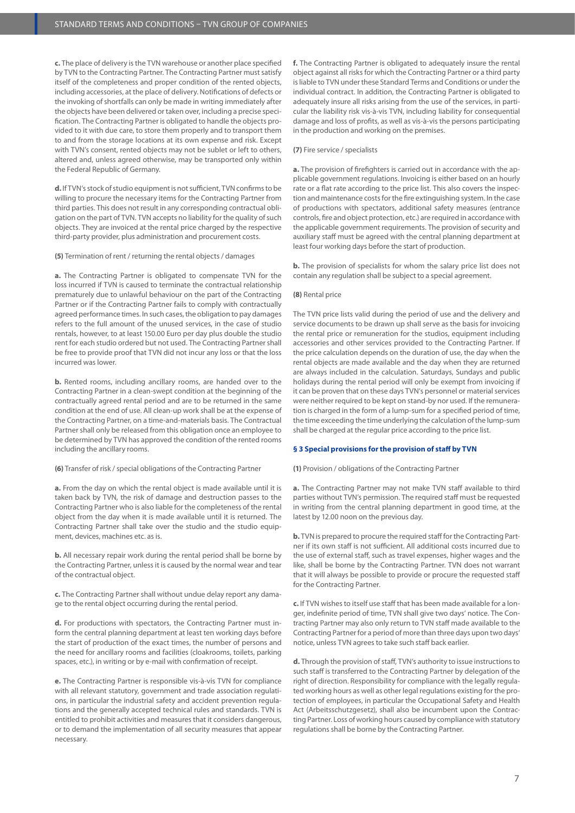**c.** The place of delivery is the TVN warehouse or another place specified by TVN to the Contracting Partner. The Contracting Partner must satisfy itself of the completeness and proper condition of the rented objects, including accessories, at the place of delivery. Notifications of defects or the invoking of shortfalls can only be made in writing immediately after the objects have been delivered or taken over, including a precise specification. The Contracting Partner is obligated to handle the objects provided to it with due care, to store them properly and to transport them to and from the storage locations at its own expense and risk. Except with TVN's consent, rented objects may not be sublet or left to others, altered and, unless agreed otherwise, may be transported only within the Federal Republic of Germany.

**d.** If TVN's stock of studio equipment is not sufficient, TVN confirms to be willing to procure the necessary items for the Contracting Partner from third parties. This does not result in any corresponding contractual obligation on the part of TVN. TVN accepts no liability for the quality of such objects. They are invoiced at the rental price charged by the respective third-party provider, plus administration and procurement costs.

**(5)** Termination of rent / returning the rental objects / damages

**a.** The Contracting Partner is obligated to compensate TVN for the loss incurred if TVN is caused to terminate the contractual relationship prematurely due to unlawful behaviour on the part of the Contracting Partner or if the Contracting Partner fails to comply with contractually agreed performance times. In such cases, the obligation to pay damages refers to the full amount of the unused services, in the case of studio rentals, however, to at least 150.00 Euro per day plus double the studio rent for each studio ordered but not used. The Contracting Partner shall be free to provide proof that TVN did not incur any loss or that the loss incurred was lower.

**b.** Rented rooms, including ancillary rooms, are handed over to the Contracting Partner in a clean-swept condition at the beginning of the contractually agreed rental period and are to be returned in the same condition at the end of use. All clean-up work shall be at the expense of the Contracting Partner, on a time-and-materials basis. The Contractual Partner shall only be released from this obligation once an employee to be determined by TVN has approved the condition of the rented rooms including the ancillary rooms.

**(6)** Transfer of risk / special obligations of the Contracting Partner

**a.** From the day on which the rental object is made available until it is taken back by TVN, the risk of damage and destruction passes to the Contracting Partner who is also liable for the completeness of the rental object from the day when it is made available until it is returned. The Contracting Partner shall take over the studio and the studio equipment, devices, machines etc. as is.

**b.** All necessary repair work during the rental period shall be borne by the Contracting Partner, unless it is caused by the normal wear and tear of the contractual object.

**c.** The Contracting Partner shall without undue delay report any damage to the rental object occurring during the rental period.

**d.** For productions with spectators, the Contracting Partner must inform the central planning department at least ten working days before the start of production of the exact times, the number of persons and the need for ancillary rooms and facilities (cloakrooms, toilets, parking spaces, etc.), in writing or by e-mail with confirmation of receipt.

**e.** The Contracting Partner is responsible vis-à-vis TVN for compliance with all relevant statutory, government and trade association regulations, in particular the industrial safety and accident prevention regulations and the generally accepted technical rules and standards. TVN is entitled to prohibit activities and measures that it considers dangerous, or to demand the implementation of all security measures that appear necessary.

**f.** The Contracting Partner is obligated to adequately insure the rental object against all risks for which the Contracting Partner or a third party is liable to TVN under these Standard Terms and Conditions or under the individual contract. In addition, the Contracting Partner is obligated to adequately insure all risks arising from the use of the services, in particular the liability risk vis-à-vis TVN, including liability for consequential damage and loss of profits, as well as vis-à-vis the persons participating in the production and working on the premises.

#### **(7)** Fire service / specialists

**a.** The provision of firefighters is carried out in accordance with the applicable government regulations. Invoicing is either based on an hourly rate or a flat rate according to the price list. This also covers the inspection and maintenance costs for the fire extinguishing system. In the case of productions with spectators, additional safety measures (entrance controls, fire and object protection, etc.) are required in accordance with the applicable government requirements. The provision of security and auxiliary staff must be agreed with the central planning department at least four working days before the start of production.

**b.** The provision of specialists for whom the salary price list does not contain any regulation shall be subject to a special agreement.

### **(8)** Rental price

The TVN price lists valid during the period of use and the delivery and service documents to be drawn up shall serve as the basis for invoicing the rental price or remuneration for the studios, equipment including accessories and other services provided to the Contracting Partner. If the price calculation depends on the duration of use, the day when the rental objects are made available and the day when they are returned are always included in the calculation. Saturdays, Sundays and public holidays during the rental period will only be exempt from invoicing if it can be proven that on these days TVN's personnel or material services were neither required to be kept on stand-by nor used. If the remuneration is charged in the form of a lump-sum for a specified period of time, the time exceeding the time underlying the calculation of the lump-sum shall be charged at the regular price according to the price list.

# **§ 3 Special provisions for the provision of staff by TVN**

**(1)** Provision / obligations of the Contracting Partner

**a.** The Contracting Partner may not make TVN staff available to third parties without TVN's permission. The required staff must be requested in writing from the central planning department in good time, at the latest by 12.00 noon on the previous day.

**b.** TVN is prepared to procure the required staff for the Contracting Partner if its own staff is not sufficient. All additional costs incurred due to the use of external staff, such as travel expenses, higher wages and the like, shall be borne by the Contracting Partner. TVN does not warrant that it will always be possible to provide or procure the requested staff for the Contracting Partner.

**c.** If TVN wishes to itself use staff that has been made available for a longer, indefinite period of time, TVN shall give two days' notice. The Contracting Partner may also only return to TVN staff made available to the Contracting Partner for a period of more than three days upon two days' notice, unless TVN agrees to take such staff back earlier.

**d.** Through the provision of staff, TVN's authority to issue instructions to such staff is transferred to the Contracting Partner by delegation of the right of direction. Responsibility for compliance with the legally regulated working hours as well as other legal regulations existing for the protection of employees, in particular the Occupational Safety and Health Act (Arbeitsschutzgesetz), shall also be incumbent upon the Contracting Partner. Loss of working hours caused by compliance with statutory regulations shall be borne by the Contracting Partner.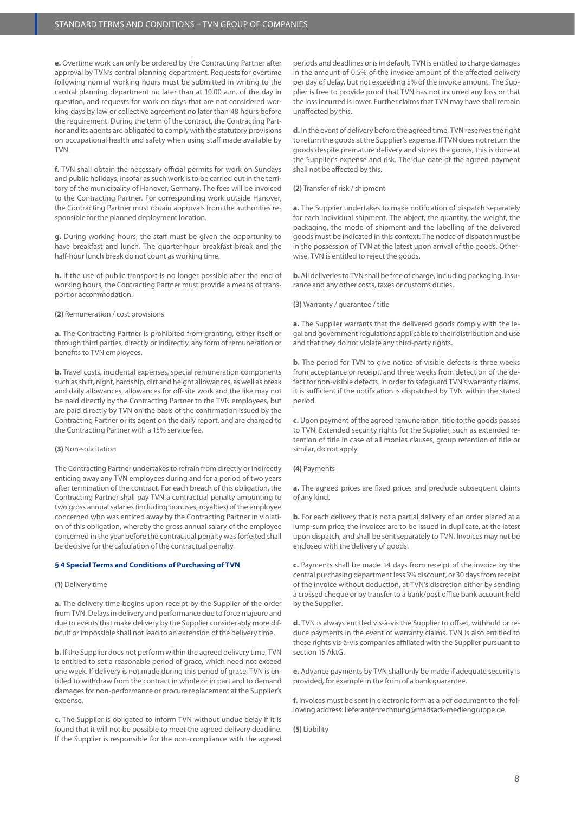**e.** Overtime work can only be ordered by the Contracting Partner after approval by TVN's central planning department. Requests for overtime following normal working hours must be submitted in writing to the central planning department no later than at 10.00 a.m. of the day in question, and requests for work on days that are not considered working days by law or collective agreement no later than 48 hours before the requirement. During the term of the contract, the Contracting Partner and its agents are obligated to comply with the statutory provisions on occupational health and safety when using staff made available by TVN.

**f.** TVN shall obtain the necessary official permits for work on Sundays and public holidays, insofar as such work is to be carried out in the territory of the municipality of Hanover, Germany. The fees will be invoiced to the Contracting Partner. For corresponding work outside Hanover, the Contracting Partner must obtain approvals from the authorities responsible for the planned deployment location.

**g.** During working hours, the staff must be given the opportunity to have breakfast and lunch. The quarter-hour breakfast break and the half-hour lunch break do not count as working time.

**h.** If the use of public transport is no longer possible after the end of working hours, the Contracting Partner must provide a means of transport or accommodation.

### **(2)** Remuneration / cost provisions

**a.** The Contracting Partner is prohibited from granting, either itself or through third parties, directly or indirectly, any form of remuneration or benefits to TVN employees.

**b.** Travel costs, incidental expenses, special remuneration components such as shift, night, hardship, dirt and height allowances, as well as break and daily allowances, allowances for off-site work and the like may not be paid directly by the Contracting Partner to the TVN employees, but are paid directly by TVN on the basis of the confirmation issued by the Contracting Partner or its agent on the daily report, and are charged to the Contracting Partner with a 15% service fee.

### **(3)** Non-solicitation

The Contracting Partner undertakes to refrain from directly or indirectly enticing away any TVN employees during and for a period of two years after termination of the contract. For each breach of this obligation, the Contracting Partner shall pay TVN a contractual penalty amounting to two gross annual salaries (including bonuses, royalties) of the employee concerned who was enticed away by the Contracting Partner in violation of this obligation, whereby the gross annual salary of the employee concerned in the year before the contractual penalty was forfeited shall be decisive for the calculation of the contractual penalty.

### **§ 4 Special Terms and Conditions of Purchasing of TVN**

### **(1)** Delivery time

**a.** The delivery time begins upon receipt by the Supplier of the order from TVN. Delays in delivery and performance due to force majeure and due to events that make delivery by the Supplier considerably more difficult or impossible shall not lead to an extension of the delivery time.

**b.** If the Supplier does not perform within the agreed delivery time, TVN is entitled to set a reasonable period of grace, which need not exceed one week. If delivery is not made during this period of grace, TVN is entitled to withdraw from the contract in whole or in part and to demand damages for non-performance or procure replacement at the Supplier's expense.

**c.** The Supplier is obligated to inform TVN without undue delay if it is found that it will not be possible to meet the agreed delivery deadline. If the Supplier is responsible for the non-compliance with the agreed periods and deadlines or is in default, TVN is entitled to charge damages in the amount of 0.5% of the invoice amount of the affected delivery per day of delay, but not exceeding 5% of the invoice amount. The Supplier is free to provide proof that TVN has not incurred any loss or that the loss incurred is lower. Further claims that TVN may have shall remain unaffected by this.

**d.** In the event of delivery before the agreed time, TVN reserves the right to return the goods at the Supplier's expense. If TVN does not return the goods despite premature delivery and stores the goods, this is done at the Supplier's expense and risk. The due date of the agreed payment shall not be affected by this.

### **(2)** Transfer of risk / shipment

**a.** The Supplier undertakes to make notification of dispatch separately for each individual shipment. The object, the quantity, the weight, the packaging, the mode of shipment and the labelling of the delivered goods must be indicated in this context. The notice of dispatch must be in the possession of TVN at the latest upon arrival of the goods. Otherwise, TVN is entitled to reject the goods.

**b.** All deliveries to TVN shall be free of charge, including packaging, insurance and any other costs, taxes or customs duties.

### **(3)** Warranty / guarantee / title

**a.** The Supplier warrants that the delivered goods comply with the legal and government regulations applicable to their distribution and use and that they do not violate any third-party rights.

**b.** The period for TVN to give notice of visible defects is three weeks from acceptance or receipt, and three weeks from detection of the defect for non-visible defects. In order to safeguard TVN's warranty claims, it is sufficient if the notification is dispatched by TVN within the stated period.

**c.** Upon payment of the agreed remuneration, title to the goods passes to TVN. Extended security rights for the Supplier, such as extended retention of title in case of all monies clauses, group retention of title or similar, do not apply.

## **(4)** Payments

**a.** The agreed prices are fixed prices and preclude subsequent claims of any kind.

**b.** For each delivery that is not a partial delivery of an order placed at a lump-sum price, the invoices are to be issued in duplicate, at the latest upon dispatch, and shall be sent separately to TVN. Invoices may not be enclosed with the delivery of goods.

**c.** Payments shall be made 14 days from receipt of the invoice by the central purchasing department less 3% discount, or 30 days from receipt of the invoice without deduction, at TVN's discretion either by sending a crossed cheque or by transfer to a bank/post office bank account held by the Supplier.

**d.** TVN is always entitled vis-à-vis the Supplier to offset, withhold or reduce payments in the event of warranty claims. TVN is also entitled to these rights vis-à-vis companies affiliated with the Supplier pursuant to section 15 AktG.

**e.** Advance payments by TVN shall only be made if adequate security is provided, for example in the form of a bank guarantee.

**f.** Invoices must be sent in electronic form as a pdf document to the following address: lieferantenrechnung@madsack-mediengruppe.de.

**(5)** Liability